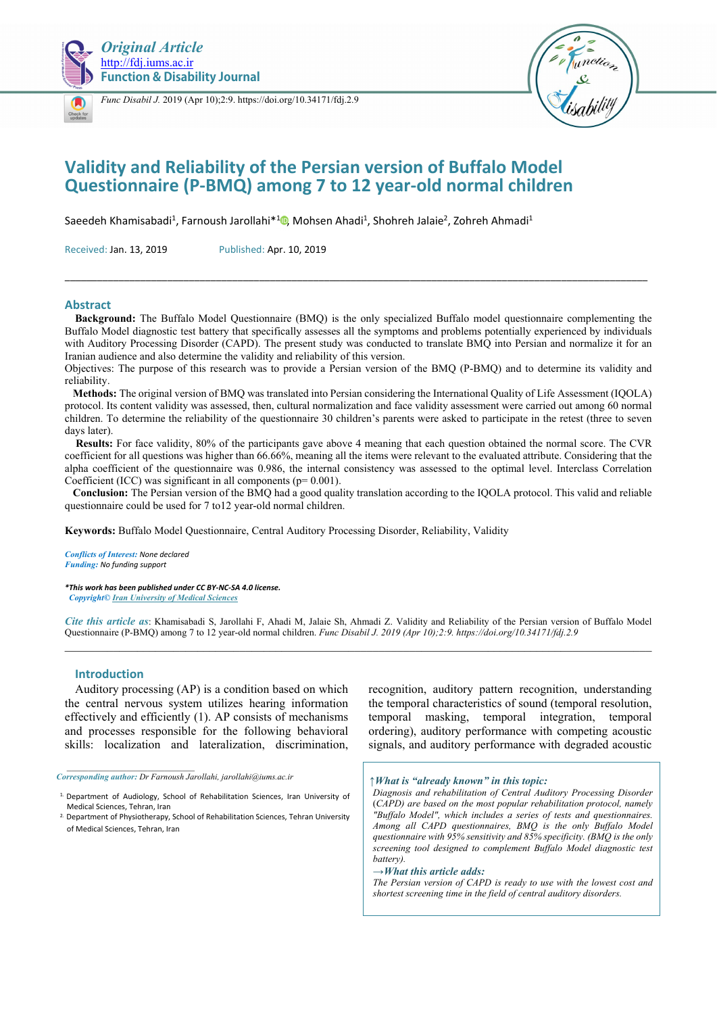



*[Func](https://crossmark.crossref.org/dialog/?doi=10.34171/fdj.2.9) Disabil J.* 2019 (Apr 10);2:9. https://doi.org/10.34171/fdj.2.9



# **Validity and Reliability of the Persian version of Buffalo Model Questionnaire (P-BMQ) among 7 to 12 year-old normal children**

SaeedehKhamisabadi<sup>1</sup>, Farnoush Jarollahi<sup>\*1</sup><sup>0</sup>, Mohsen Ahadi<sup>1</sup>, Shohreh Jalaie<sup>2</sup>, Zohreh Ahmadi<sup>1</sup>

Received: Jan. 13, 2019 Published: Apr. 10, 2019

#### **Abstract**

 **Background:** The Buffalo Model Questionnaire (BMQ) is the only specialized Buffalo model questionnaire complementing the Buffalo Model diagnostic test battery that specifically assesses all the symptoms and problems potentially experienced by individuals with Auditory Processing Disorder (CAPD). The present study was conducted to translate BMQ into Persian and normalize it for an Iranian audience and also determine the validity and reliability of this version.

\_\_\_\_\_\_\_\_\_\_\_\_\_\_\_\_\_\_\_\_\_\_\_\_\_\_\_\_\_\_\_\_\_\_\_\_\_\_\_\_\_\_\_\_\_\_\_\_\_\_\_\_\_\_\_\_\_\_\_\_\_\_\_\_\_\_\_\_\_\_\_\_\_\_\_\_\_\_\_\_\_\_\_\_\_\_\_\_\_\_\_\_\_\_\_\_\_\_\_\_\_\_\_\_\_\_\_\_

Objectives: The purpose of this research was to provide a Persian version of the BMQ (P-BMQ) and to determine its validity and reliability.

 **Methods:** The original version of BMQ was translated into Persian considering the International Quality of Life Assessment (IQOLA) protocol. Its content validity was assessed, then, cultural normalization and face validity assessment were carried out among 60 normal children. To determine the reliability of the questionnaire 30 children's parents were asked to participate in the retest (three to seven days later).

 **Results:** For face validity, 80% of the participants gave above 4 meaning that each question obtained the normal score. The CVR coefficient for all questions was higher than 66.66%, meaning all the items were relevant to the evaluated attribute. Considering that the alpha coefficient of the questionnaire was 0.986, the internal consistency was assessed to the optimal level. Interclass Correlation Coefficient (ICC) was significant in all components ( $p= 0.001$ ).

 **Conclusion:** The Persian version of the BMQ had a good quality translation according to the IQOLA protocol. This valid and reliable questionnaire could be used for 7 to12 year-old normal children.

**Keywords:** Buffalo Model Questionnaire, Central Auditory Processing Disorder, Reliability, Validity

*Conflicts of Interest: None declared Funding: No funding support* 

*\*This work has been published under CC BY-NC-SA 4.0 license. Copyright© Iran University of Medical Sciences* 

*Cite this article as*: Khamisabadi S, Jarollahi F, Ahadi M, Jalaie Sh, Ahmadi Z. Validity and Reliability of the Persian version of Buffalo Model Questionnaire (P-BMQ) among 7 to 12 year-old normal children. *Func Disabil J. 2019 (Apr 10);2:9. https://doi.org/10.34171/fdj.2.9*   $\mathcal{L}_\text{max}$ 

#### **Introduction**

Auditory processing (AP) is a condition based on which the central nervous system utilizes hearing information effectively and efficiently (1). AP consists of mechanisms and processes responsible for the following behavioral skills: localization and lateralization, discrimination,

*Corresponding author: Dr Farnoush Jarollahi, jarollahi@iums.ac.ir* 

recognition, auditory pattern recognition, understanding the temporal characteristics of sound (temporal resolution, temporal masking, temporal integration, temporal ordering), auditory performance with competing acoustic signals, and auditory performance with degraded acoustic

#### *↑What is "already known" in this topic:*

*Diagnosis and rehabilitation of Central Auditory Processing Disorder*  (*CAPD) are based on the most popular rehabilitation protocol, namely "Buffalo Model", which includes a series of tests and questionnaires. Among all CAPD questionnaires, BMQ is the only Buffalo Model questionnaire with 95% sensitivity and 85% specificity. (BMQ is the only screening tool designed to complement Buffalo Model diagnostic test battery).*

*→What this article adds:* 

*The Persian version of CAPD is ready to use with the lowest cost and shortest screening time in the field of central auditory disorders.*

<sup>1.</sup> Department of Audiology, School of Rehabilitation Sciences, Iran University of Medical Sciences, Tehran, Iran

<sup>2.</sup> Department of Physiotherapy, School of Rehabilitation Sciences, Tehran University of Medical Sciences, Tehran, Iran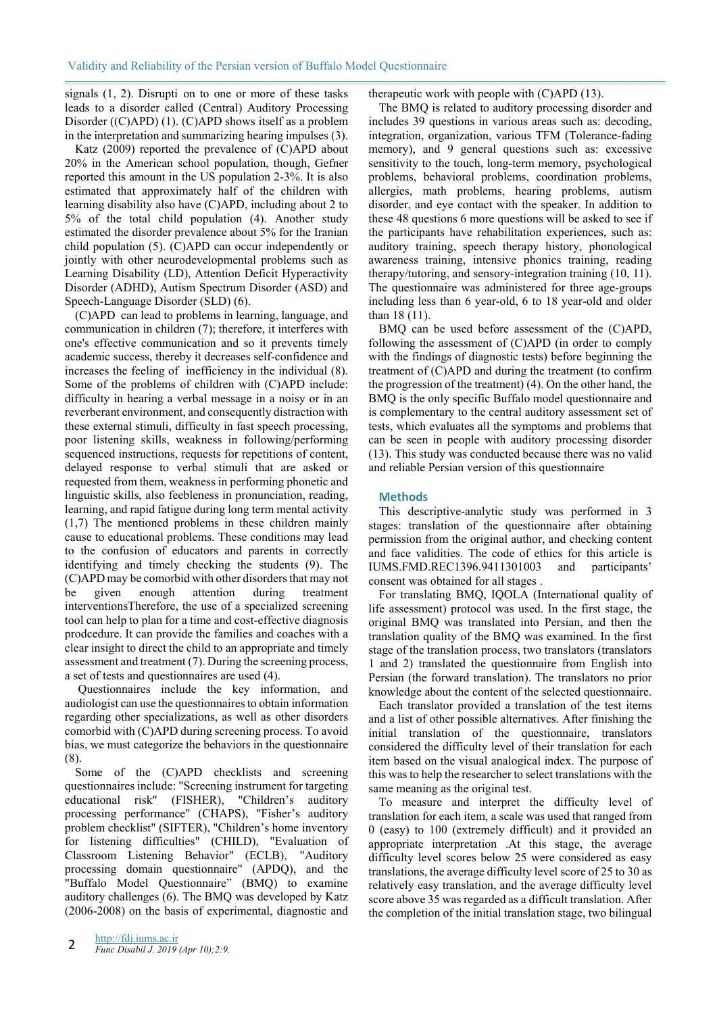signals (1, 2). Disrupti on to one or more of these tasks leads to a disorder called (Central) Auditory Processing Disorder ((C)APD) (1). (C)APD shows itself as a problem in the interpretation and summarizing hearing impulses (3).

Katz (2009) reported the prevalence of (C)APD about 20% in the American school population, though, Gefner reported this amount in the US population 2-3%. It is also estimated that approximately half of the children with learning disability also have (C)APD, including about 2 to 5% of the total child population (4). Another study estimated the disorder prevalence about 5% for the Iranian child population (5). (C)APD can occur independently or jointly with other neurodevelopmental problems such as Learning Disability (LD), Attention Deficit Hyperactivity Disorder (ADHD), Autism Spectrum Disorder (ASD) and Speech-Language Disorder (SLD) (6).

(C)APD can lead to problems in learning, language, and communication in children (7); therefore, it interferes with one's effective communication and so it prevents timely academic success, thereby it decreases self-confidence and increases the feeling of inefficiency in the individual (8). Some of the problems of children with (C)APD include: difficulty in hearing a verbal message in a noisy or in an reverberant environment, and consequently distraction with these external stimuli, difficulty in fast speech processing, poor listening skills, weakness in following/performing sequenced instructions, requests for repetitions of content, delayed response to verbal stimuli that are asked or requested from them, weakness in performing phonetic and linguistic skills, also feebleness in pronunciation, reading, learning, and rapid fatigue during long term mental activity (1,7) The mentioned problems in these children mainly cause to educational problems. These conditions may lead to the confusion of educators and parents in correctly identifying and timely checking the students (9). The (C)APD may be comorbid with other disorders that may not be given enough attention during treatment interventionsTherefore, the use of a specialized screening tool can help to plan for a time and cost-effective diagnosis prodcedure. It can provide the families and coaches with a clear insight to direct the child to an appropriate and timely assessment and treatment (7). During the screening process, a set of tests and questionnaires are used (4).

 Questionnaires include the key information, and audiologist can use the questionnaires to obtain information regarding other specializations, as well as other disorders comorbid with (C)APD during screening process. To avoid bias, we must categorize the behaviors in the questionnaire (8).

Some of the (C)APD checklists and screening questionnaires include: "Screening instrument for targeting educational risk" (FISHER), "Children's auditory processing performance" (CHAPS), "Fisher's auditory problem checklist" (SIFTER), "Children's home inventory for listening difficulties" (CHILD), "Evaluation of Classroom Listening Behavior" (ECLB), "Auditory processing domain questionnaire" (APDQ), and the "Buffalo Model Questionnaire" (BMQ) to examine auditory challenges (6). The BMQ was developed by Katz (2006-2008) on the basis of experimental, diagnostic and therapeutic work with people with (C)APD (13).

The BMQ is related to auditory processing disorder and includes 39 questions in various areas such as: decoding, integration, organization, various TFM (Tolerance-fading memory), and 9 general questions such as: excessive sensitivity to the touch, long-term memory, psychological problems, behavioral problems, coordination problems, allergies, math problems, hearing problems, autism disorder, and eye contact with the speaker. In addition to these 48 questions 6 more questions will be asked to see if the participants have rehabilitation experiences, such as: auditory training, speech therapy history, phonological awareness training, intensive phonics training, reading therapy/tutoring, and sensory-integration training (10, 11). The questionnaire was administered for three age-groups including less than 6 year-old, 6 to 18 year-old and older than 18 (11).

BMQ can be used before assessment of the (C)APD, following the assessment of (C)APD (in order to comply with the findings of diagnostic tests) before beginning the treatment of (C)APD and during the treatment (to confirm the progression of the treatment) (4). On the other hand, the BMQ is the only specific Buffalo model questionnaire and is complementary to the central auditory assessment set of tests, which evaluates all the symptoms and problems that can be seen in people with auditory processing disorder (13). This study was conducted because there was no valid and reliable Persian version of this questionnaire

## **Methods**

This descriptive-analytic study was performed in 3 stages: translation of the questionnaire after obtaining permission from the original author, and checking content and face validities. The code of ethics for this article is IUMS.FMD.REC1396.9411301003 and participants' consent was obtained for all stages .

For translating BMQ, IQOLA (International quality of life assessment) protocol was used. In the first stage, the original BMQ was translated into Persian, and then the translation quality of the BMQ was examined. In the first stage of the translation process, two translators (translators 1 and 2) translated the questionnaire from English into Persian (the forward translation). The translators no prior knowledge about the content of the selected questionnaire.

Each translator provided a translation of the test items and a list of other possible alternatives. After finishing the initial translation of the questionnaire, translators considered the difficulty level of their translation for each item based on the visual analogical index. The purpose of this was to help the researcher to select translations with the same meaning as the original test.

To measure and interpret the difficulty level of translation for each item, a scale was used that ranged from 0 (easy) to 100 (extremely difficult) and it provided an appropriate interpretation .At this stage, the average difficulty level scores below 25 were considered as easy translations, the average difficulty level score of 25 to 30 as relatively easy translation, and the average difficulty level score above 35 was regarded as a difficult translation. After the completion of the initial translation stage, two bilingual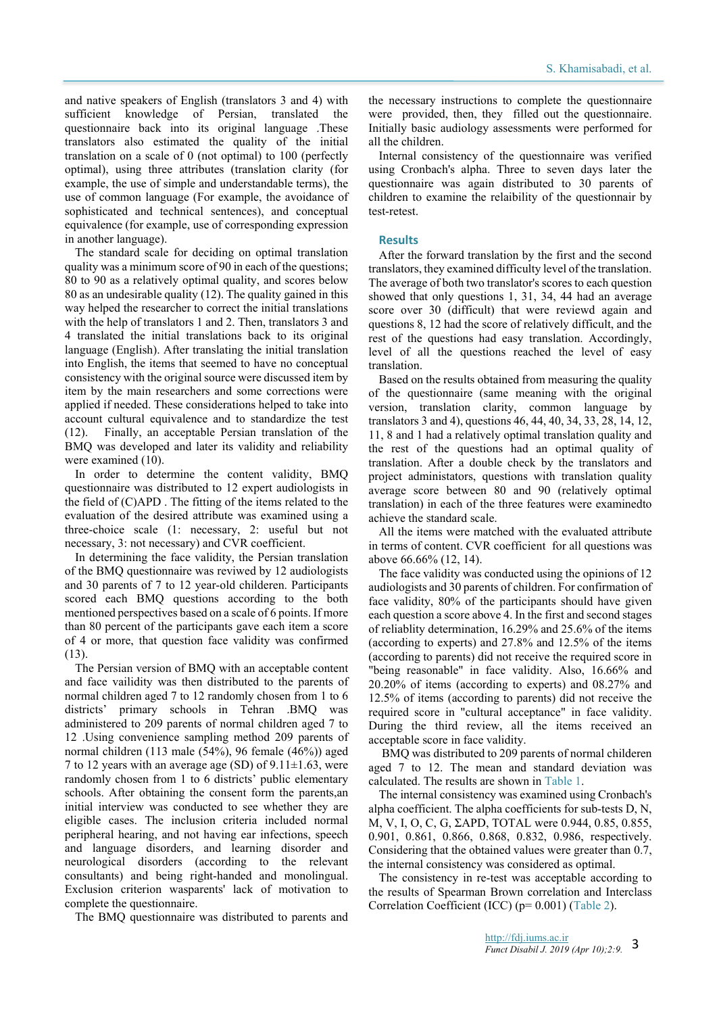and native speakers of English (translators 3 and 4) with sufficient knowledge of Persian, translated the questionnaire back into its original language .These translators also estimated the quality of the initial translation on a scale of 0 (not optimal) to 100 (perfectly optimal), using three attributes (translation clarity (for example, the use of simple and understandable terms), the use of common language (For example, the avoidance of sophisticated and technical sentences), and conceptual equivalence (for example, use of corresponding expression in another language).

The standard scale for deciding on optimal translation quality was a minimum score of 90 in each of the questions; 80 to 90 as a relatively optimal quality, and scores below 80 as an undesirable quality (12). The quality gained in this way helped the researcher to correct the initial translations with the help of translators 1 and 2. Then, translators 3 and 4 translated the initial translations back to its original language (English). After translating the initial translation into English, the items that seemed to have no conceptual consistency with the original source were discussed item by item by the main researchers and some corrections were applied if needed. These considerations helped to take into account cultural equivalence and to standardize the test (12). Finally, an acceptable Persian translation of the BMQ was developed and later its validity and reliability were examined (10).

In order to determine the content validity, BMQ questionnaire was distributed to 12 expert audiologists in the field of (C)APD . The fitting of the items related to the evaluation of the desired attribute was examined using a three-choice scale (1: necessary, 2: useful but not necessary, 3: not necessary) and CVR coefficient.

In determining the face validity, the Persian translation of the BMQ questionnaire was reviwed by 12 audiologists and 30 parents of 7 to 12 year-old childeren. Participants scored each BMQ questions according to the both mentioned perspectives based on a scale of 6 points. If more than 80 percent of the participants gave each item a score of 4 or more, that question face validity was confirmed (13).

The Persian version of BMQ with an acceptable content and face vailidity was then distributed to the parents of normal children aged 7 to 12 randomly chosen from 1 to 6 districts' primary schools in Tehran .BMQ was administered to 209 parents of normal children aged 7 to 12 .Using convenience sampling method 209 parents of normal children (113 male (54%), 96 female (46%)) aged 7 to 12 years with an average age (SD) of  $9.11 \pm 1.63$ , were randomly chosen from 1 to 6 districts' public elementary schools. After obtaining the consent form the parents,an initial interview was conducted to see whether they are eligible cases. The inclusion criteria included normal peripheral hearing, and not having ear infections, speech and language disorders, and learning disorder and neurological disorders (according to the relevant consultants) and being right-handed and monolingual. Exclusion criterion wasparents' lack of motivation to complete the questionnaire.

The BMQ questionnaire was distributed to parents and

the necessary instructions to complete the questionnaire were provided, then, they filled out the questionnaire. Initially basic audiology assessments were performed for all the children.

Internal consistency of the questionnaire was verified using Cronbach's alpha. Three to seven days later the questionnaire was again distributed to 30 parents of children to examine the relaibility of the questionnair by test-retest.

#### **Results**

After the forward translation by the first and the second translators, they examined difficulty level of the translation. The average of both two translator's scores to each question showed that only questions 1, 31, 34, 44 had an average score over 30 (difficult) that were reviewd again and questions 8, 12 had the score of relatively difficult, and the rest of the questions had easy translation. Accordingly, level of all the questions reached the level of easy translation.

Based on the results obtained from measuring the quality of the questionnaire (same meaning with the original version, translation clarity, common language by translators 3 and 4), questions 46, 44, 40, 34, 33, 28, 14, 12, 11, 8 and 1 had a relatively optimal translation quality and the rest of the questions had an optimal quality of translation. After a double check by the translators and project administators, questions with translation quality average score between 80 and 90 (relatively optimal translation) in each of the three features were examinedto achieve the standard scale.

All the items were matched with the evaluated attribute in terms of content. CVR coefficient for all questions was above 66.66% (12, 14).

The face validity was conducted using the opinions of 12 audiologists and 30 parents of children. For confirmation of face validity, 80% of the participants should have given each question a score above 4. In the first and second stages of reliablity determination, 16.29% and 25.6% of the items (according to experts) and 27.8% and 12.5% of the items (according to parents) did not receive the required score in "being reasonable" in face validity. Also, 16.66% and 20.20% of items (according to experts) and 08.27% and 12.5% of items (according to parents) did not receive the required score in "cultural acceptance" in face validity. During the third review, all the items received an acceptable score in face validity.

BMQ was distributed to 209 parents of normal childeren aged 7 to 12. The mean and standard deviation was calculated. The results are shown in Table 1.

The internal consistency was examined using Cronbach's alpha coefficient. The alpha coefficients for sub-tests D, N, M, V, I, O, C, G, ΣAPD, TOTAL were 0.944, 0.85, 0.855, 0.901, 0.861, 0.866, 0.868, 0.832, 0.986, respectively. Considering that the obtained values were greater than 0.7, the internal consistency was considered as optimal.

The consistency in re-test was acceptable according to the results of Spearman Brown correlation and Interclass Correlation Coefficient (ICC) (p= 0.001) (Table 2).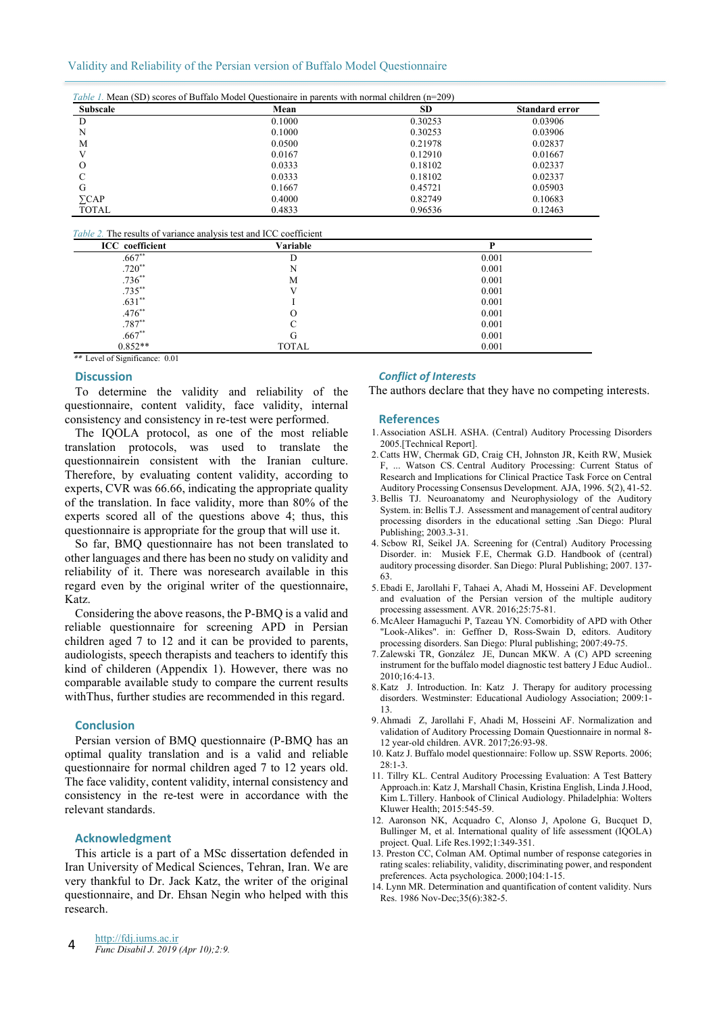### Validity and Reliability of the Persian version of Buffalo Model Questionnaire

|                 | Table 1. Mean (SD) scores of Buffalo Model Questionaire in parents with normal children (n=209) |           |                       |  |  |
|-----------------|-------------------------------------------------------------------------------------------------|-----------|-----------------------|--|--|
| <b>Subscale</b> | Mean                                                                                            | <b>SD</b> | <b>Standard error</b> |  |  |
| D               | 0.1000                                                                                          | 0.30253   | 0.03906               |  |  |
| N               | 0.1000                                                                                          | 0.30253   | 0.03906               |  |  |
| M               | 0.0500                                                                                          | 0.21978   | 0.02837               |  |  |
|                 | 0.0167                                                                                          | 0.12910   | 0.01667               |  |  |
| О               | 0.0333                                                                                          | 0.18102   | 0.02337               |  |  |
|                 | 0.0333                                                                                          | 0.18102   | 0.02337               |  |  |
| G               | 0.1667                                                                                          | 0.45721   | 0.05903               |  |  |
| $\sum$ CAP      | 0.4000                                                                                          | 0.82749   | 0.10683               |  |  |
| <b>TOTAL</b>    | 0.4833                                                                                          | 0.96536   | 0.12463               |  |  |

## *Table 2.* The results of variance analysis test and ICC coefficient

| <b>ICC</b> coefficient | Variable     |       |  |
|------------------------|--------------|-------|--|
| $.667**$               | D            | 0.001 |  |
| $.720**$               | N            | 0.001 |  |
| $.736**$               | М            | 0.001 |  |
| $.735***$              |              | 0.001 |  |
| $.631**$               |              | 0.001 |  |
| $.476**$               | O            | 0.001 |  |
| $.787**$               |              | 0.001 |  |
| $.667**$               | G            | 0.001 |  |
| $0.852**$              | <b>TOTAL</b> | 0.001 |  |

\*\* Level of Significance: 0.01

#### **Discussion**

To determine the validity and reliability of the questionnaire, content validity, face validity, internal consistency and consistency in re-test were performed.

The IQOLA protocol, as one of the most reliable translation protocols, was used to translate the questionnairein consistent with the Iranian culture. Therefore, by evaluating content validity, according to experts, CVR was 66.66, indicating the appropriate quality of the translation. In face validity, more than 80% of the experts scored all of the questions above 4; thus, this questionnaire is appropriate for the group that will use it.

So far, BMQ questionnaire has not been translated to other languages and there has been no study on validity and reliability of it. There was noresearch available in this regard even by the original writer of the questionnaire, Katz.

Considering the above reasons, the P-BMQ is a valid and reliable questionnaire for screening APD in Persian children aged 7 to 12 and it can be provided to parents, audiologists, speech therapists and teachers to identify this kind of childeren (Appendix 1). However, there was no comparable available study to compare the current results withThus, further studies are recommended in this regard.

### **Conclusion**

Persian version of BMQ questionnaire (P-BMQ has an optimal quality translation and is a valid and reliable questionnaire for normal children aged 7 to 12 years old. The face validity, content validity, internal consistency and consistency in the re-test were in accordance with the relevant standards.

## **Acknowledgment**

This article is a part of a MSc dissertation defended in Iran University of Medical Sciences, Tehran, Iran. We are very thankful to Dr. Jack Katz, the writer of the original questionnaire, and Dr. Ehsan Negin who helped with this research.

#### *Conflict of Interests*

The authors declare that they have no competing interests.

#### **References**

- 1. Association ASLH. ASHA. (Central) Auditory Processing Disorders 2005.[Technical Report].
- 2. Catts HW, Chermak GD, Craig CH, Johnston JR, Keith RW, Musiek F, ... Watson CS. Central Auditory Processing: Current Status of Research and Implications for Clinical Practice Task Force on Central Auditory Processing Consensus Development. AJA, 1996. 5(2), 41-52.
- 3. Bellis TJ. Neuroanatomy and Neurophysiology of the Auditory System. in: Bellis T.J. Assessment and management of central auditory processing disorders in the educational setting .San Diego: Plural Publishing; 2003.3-31.
- 4. Scbow RI, Seikel JA. Screening for (Central) Auditory Processing Disorder. in: Musiek F.E, Chermak G.D. Handbook of (central) auditory processing disorder. San Diego: Plural Publishing; 2007. 137- 63.
- 5. Ebadi E, Jarollahi F, Tahaei A, Ahadi M, Hosseini AF. Development and evaluation of the Persian version of the multiple auditory processing assessment. AVR. 2016;25:75-81.
- 6. McAleer Hamaguchi P, Tazeau YN. Comorbidity of APD with Other "Look-Alikes". in: Geffner D, Ross-Swain D, editors. Auditory processing disorders. San Diego: Plural publishing; 2007:49-75.
- 7. Zalewski TR, González JE, Duncan MKW. A (C) APD screening instrument for the buffalo model diagnostic test battery J Educ Audiol.. 2010;16:4-13.
- 8. Katz J. Introduction. In: Katz J. Therapy for auditory processing disorders. Westminster: Educational Audiology Association; 2009:1- 13.
- 9. Ahmadi Z, Jarollahi F, Ahadi M, Hosseini AF. Normalization and validation of Auditory Processing Domain Questionnaire in normal 8- 12 year-old children. AVR. 2017;26:93-98.
- 10. Katz J. Buffalo model questionnaire: Follow up. SSW Reports. 2006; 28:1-3.
- 11. Tillry KL. Central Auditory Processing Evaluation: A Test Battery Approach.in: Katz J, Marshall Chasin, Kristina English, Linda J.Hood, Kim L.Tillery. Hanbook of Clinical Audiology. Philadelphia: Wolters Kluwer Health; 2015:545-59.
- 12. Aaronson NK, Acquadro C, Alonso J, Apolone G, Bucquet D, Bullinger M, et al. International quality of life assessment (IQOLA) project. Qual. Life Res.1992;1:349-351.
- 13. Preston CC, Colman AM. Optimal number of response categories in rating scales: reliability, validity, discriminating power, and respondent preferences. Acta psychologica. 2000;104:1-15.
- 14. Lynn MR. Determination and quantification of content validity. Nurs Res. 1986 Nov-Dec;35(6):382-5.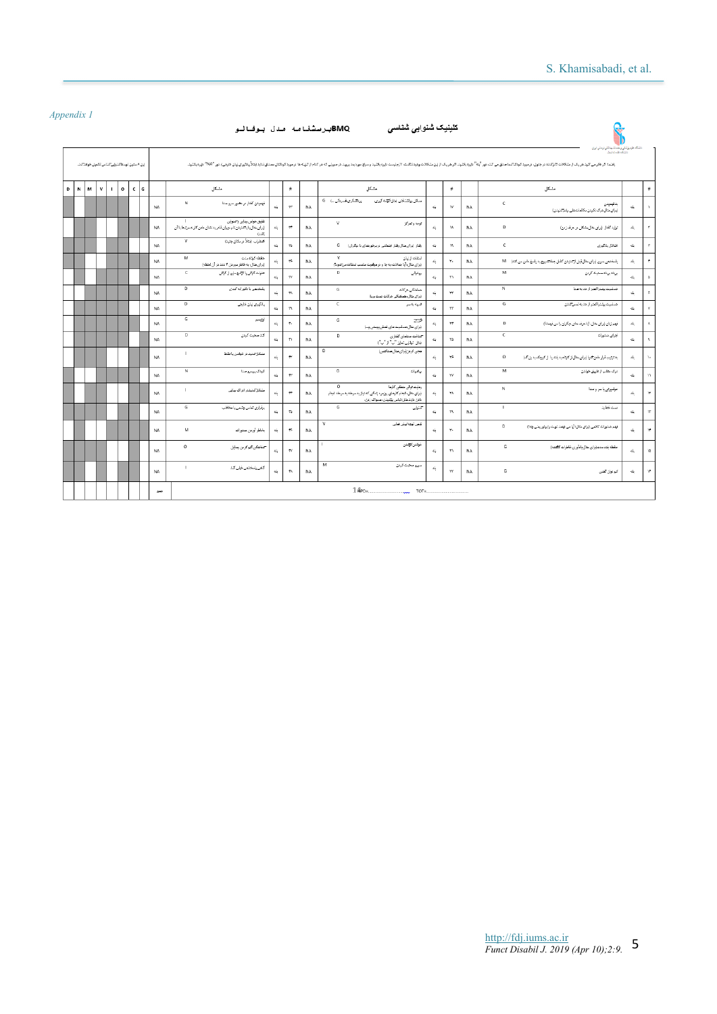|              | ренит 1      |                                             |              |         |     |           | BMQیرسشنامه مدل بوفانو                                                                                                      |               |                             |           | كلينيك شنوابي شناسي                                                                                                                                    |                            |                |           | نشكه طوم يزشكي وخندت بهنشتي نرمشي ايران                                                                                                                                                                                                           |            |                           |
|--------------|--------------|---------------------------------------------|--------------|---------|-----|-----------|-----------------------------------------------------------------------------------------------------------------------------|---------------|-----------------------------|-----------|--------------------------------------------------------------------------------------------------------------------------------------------------------|----------------------------|----------------|-----------|---------------------------------------------------------------------------------------------------------------------------------------------------------------------------------------------------------------------------------------------------|------------|---------------------------|
|              |              | این ۸ ستون توسط تنتولی تناس تکمیل خواهدتند. |              |         |     |           |                                                                                                                             |               |                             |           |                                                                                                                                                        |                            |                |           | And a car of the<br>راشد اثر فکرس کرد گردان است کرد سازمی کنده و سود کود که سازم سود از استان از استان از است. این است این است این است است است از کرد و است از کرد و است از کرد که از کرد است. است از کرد است که از کرد است از کرد کرد از کرد کرد |            |                           |
| $\mathbf{D}$ | $\mathbf{N}$ | м<br>$\mathsf{v}$                           | $\mathbf{I}$ | $\circ$ | cla |           | مشكل                                                                                                                        |               | $\#$                        |           | مشكل                                                                                                                                                   |                            | $\#$           |           | مشكل                                                                                                                                                                                                                                              |            | $\#$                      |
|              |              |                                             |              |         |     | <b>NA</b> | N<br>فهميدن كفتار در حضور سروحنا                                                                                            | 4L            | $\tau\tau$                  | <b>NA</b> | پرڪنگري آسرنگي <sub>سا</sub> 6<br>سىقل رولتىناقتى إمثل كوتته كيرىء                                                                                     | 4                          | w              | <b>NA</b> | c<br>بدقهميتن<br>إبرای كال درك تكرمن مكالمانت هلی رغم تنتیدن)                                                                                                                                                                                     | ۹Ŀ         | $\lambda$                 |
|              |              |                                             |              |         |     | NA        | $\mathbf{I}$<br>تلفيق هواس بينايي والتنوابي<br>اورای كال با با تنيدن نام خيوان قادر به نشان دادن كارت مرتبط با آن<br>(1.37) | 44            | $\tau\tau$                  | <b>NA</b> | v<br>توجه وتمركز                                                                                                                                       | 4                          | <b>AC</b>      | <b>NA</b> | D<br>تولید گفتار (برای مثال مشکل در حرف زدن)                                                                                                                                                                                                      | 44         | $\tau$                    |
|              |              |                                             |              |         |     | <b>NA</b> | $\mathbf v$<br>المطراب إخلأ در مكان جنبذ)                                                                                   | d.            | 74                          | NΔ        |                                                                                                                                                        | 4                          | 15.            | <b>NA</b> | c.<br>افتلال باذكيرى                                                                                                                                                                                                                              | ىلە        | Ÿ.                        |
|              |              |                                             |              |         |     | NA        | M<br>حقطه كوتاه مدت<br>إبرای مثال، به خاطر سیردن ۴ عند در آن لحظه)                                                          | 4L            | ٣F.                         | <b>NA</b> | $\mathcal{M}$<br>تنظاما زبان<br>(برای مثال، آیا جملات، به جا و در موقعیت مناسب امتفاده می تمود؟)                                                       | 4                          | $\tau_{\rm B}$ | <b>NA</b> | يالمختص سريع (براي كال قبل الانتيتن كامل جطالتسروع به ياسخ دادن مي كند)  M                                                                                                                                                                        | AL.        | $^\star$                  |
|              |              |                                             |              |         |     | NA        | $\mathsf{C}$<br>عفونت کوتن با تژکیج مایع از گوتن                                                                            | 44            | $\tau\tau$                  | <b>NA</b> | $\mathbf{D}$<br>روخولی                                                                                                                                 | 4                          | $\tau\tau$     | <b>NA</b> | M<br>بريتدبرينه محبث كردن                                                                                                                                                                                                                         | 4L.        | $\Delta$                  |
|              |              |                                             |              |         |     | NA        | $\Box$<br>يقتحص باتاقيرابه كندى                                                                                             | 4L            | 78                          | <b>NA</b> | G<br>هملطكي هركات<br>(برای مثال هماهنگی درکات دست و پا)                                                                                                | 4                          | ٣Y             | <b>NA</b> | N<br>خطيبك ببثكر اكعثر ازجديه سنا                                                                                                                                                                                                                 | بله        | $\mu$                     |
|              |              |                                             |              |         |     | NA        | $\overline{D}$<br>پادگوری زبان خارجی                                                                                        | d,            | $\mathcal{P}^{\mathcal{C}}$ | <b>NA</b> | $\epsilon$<br>هريه به سر                                                                                                                               | 4                          | $\tau\tau$     | <b>NA</b> | G<br>خماسيت ببتشر اكعثر ازجديه لعمر كمنن                                                                                                                                                                                                          | ۹L         | $\mathbf{v}$              |
|              |              |                                             |              |         |     | <b>NA</b> | G<br>أوتيسم                                                                                                                 | 4L            | ٠.                          | <b>NA</b> | G<br>ಮ್<br>(برای مثال همامیت های قعطی پوستی و)                                                                                                         | 4                          | <b>YT</b>      | <b>NA</b> | D<br>فهم زبان (برای مثال، آیا هرف های دیگران را می فهمندٌ)                                                                                                                                                                                        | بله        | $\boldsymbol{A}$          |
|              |              |                                             |              |         |     | NA        | D<br>كند سحيت كردن                                                                                                          | 4L            | $\overline{\mathbf{r}}$     | <b>NA</b> | D<br>سمنافث سنلفاي كفتاري<br>بَمَل توقلِی تعایز "ب" از "پ")                                                                                            | 4                          | Yb.            | <b>NA</b> | с<br>اجرای منثورات                                                                                                                                                                                                                                | sk.        | $\mathbf{q}$              |
|              |              |                                             |              |         |     | <b>NA</b> | ×.<br>متكل تدنيد ورخولتن بانقظ                                                                                              | 44            | $\tau\tau$                  | <b>NA</b> | D<br>هجی کردن(برای مثال صناکشی)                                                                                                                        | 4                          | YF.            | <b>NA</b> | $\circ$<br>به ترتیب قرار دادن شیا (برای مثال)ز کوتاه به بلند یا از کوچک به بزرگ)                                                                                                                                                                  | ۹Ŀ         | $\chi_{\rm m}$            |
|              |              |                                             |              |         |     | NA        | N<br>كودك يرسرو صدا                                                                                                         | 4L            | $\tau\tau$                  | <b>NA</b> | G<br>رباهيات                                                                                                                                           | 4                          | <b>YV</b>      | NA.       | M<br>درک مطلب از طریق خواندن                                                                                                                                                                                                                      | ۹Ŀ         | $\mathcal{V}$             |
|              |              |                                             |              |         |     | NA        | $\mathbf{I}$<br>متكل منيندر ادراك بينايى                                                                                    | 44            | $\tau\tau$                  | <b>NA</b> | $\Omega$<br>رعایت تولی منطقی کارها<br>ایرای مثال، انجام کارهای روزمره زندگی که نیاز به مرحله به مرحله انجام<br>دادن دارند خل: لباس پوتنیدن، مسواک زدن، | 4                          | YA.            | <b>NA</b> | N<br>خواسیرتی با سر و صدا                                                                                                                                                                                                                         | s٤         | $\mathbf{W}$              |
|              |              |                                             |              |         |     | NA        | G<br>برقرارى تماس چشمى با مخاطب                                                                                             | 4L            | 74                          | <b>NA</b> | G<br>سمنولي                                                                                                                                            | 4                          | $\mathbf{r}$   | <b>NA</b> | $\mathbf{I}$<br>ست قطابنا                                                                                                                                                                                                                         | بله        | $\mathbf{W}$              |
|              |              |                                             |              |         |     | <b>NA</b> | M<br>بخاطر أوردن صئورات                                                                                                     | ۰             | 48                          | <b>NA</b> | v<br>تلص توجه ليش فعلى                                                                                                                                 | 4                          | Y.             | <b>NA</b> | D<br>فهم منتورات كالمی زبرای مثال: آیا می فهمد تویت را بیاور یعنی چه؟)                                                                                                                                                                            | 44         | $\mathbf{v}$              |
|              |              |                                             |              |         |     | NA        | $\circ$<br><b>التلاشكى اكير كردن وسابل</b>                                                                                  | d.            | $\tau$                      | <b>NA</b> | J.<br>خوانن انهتنن                                                                                                                                     | $\epsilon_{\rm m}^{\rm I}$ | $\tau\tau$     | NA.       | G<br>حققه بلند مدعقراي مثال بادأورى خاطرات كثفته)                                                                                                                                                                                                 | $\Delta L$ | $\mathbf{M}$              |
|              |              |                                             |              |         |     | NA        | $\mathbb{L}$<br>گلمی پلسختمی خپلی کند                                                                                       | $4\mathrm{L}$ | 48                          | <b>NA</b> | м<br>سريع صحبت كردن                                                                                                                                    | 4                          | $\tau\tau$     | NA        | G<br>كيرتوان كمض                                                                                                                                                                                                                                  | 4L         | $\mathbf{V}^{\mathbf{p}}$ |
|              |              |                                             |              |         |     | جعج       | $TOT =$<br><b>COUNTY</b>                                                                                                    |               |                             |           |                                                                                                                                                        |                            |                |           |                                                                                                                                                                                                                                                   |            |                           |

## *Appendix 1*